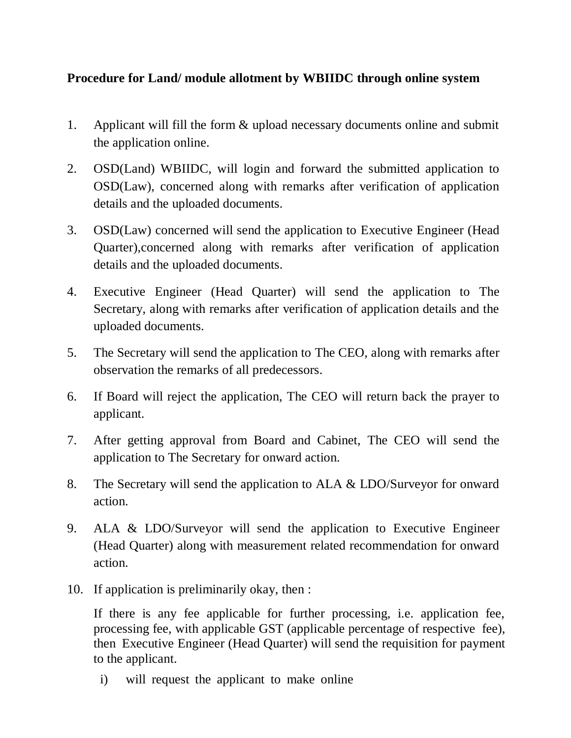## **Procedure for Land/ module allotment by WBIIDC through online system**

- 1. Applicant will fill the form & upload necessary documents online and submit the application online.
- 2. OSD(Land) WBIIDC, will login and forward the submitted application to OSD(Law), concerned along with remarks after verification of application details and the uploaded documents.
- 3. OSD(Law) concerned will send the application to Executive Engineer (Head Quarter),concerned along with remarks after verification of application details and the uploaded documents.
- 4. Executive Engineer (Head Quarter) will send the application to The Secretary, along with remarks after verification of application details and the uploaded documents.
- 5. The Secretary will send the application to The CEO, along with remarks after observation the remarks of all predecessors.
- 6. If Board will reject the application, The CEO will return back the prayer to applicant.
- 7. After getting approval from Board and Cabinet, The CEO will send the application to The Secretary for onward action.
- 8. The Secretary will send the application to ALA & LDO/Surveyor for onward action.
- 9. ALA & LDO/Surveyor will send the application to Executive Engineer (Head Quarter) along with measurement related recommendation for onward action.
- 10. If application is preliminarily okay, then :

If there is any fee applicable for further processing, i.e. application fee, processing fee, with applicable GST (applicable percentage of respective fee), then Executive Engineer (Head Quarter) will send the requisition for payment to the applicant.

i) will request the applicant to make online